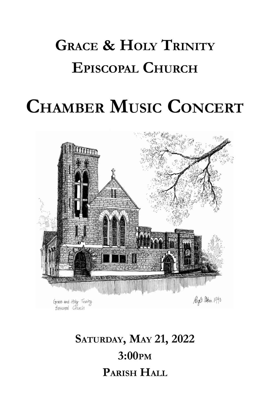# **GRACE & HOLY TRINITY EPISCOPAL CHURCH**

# **CHAMBER MUSIC CONCERT**



Grace and Haly Thinity Episcopal Church

Miz 8. april 1990

## **SATURDAY, MAY 21, 2022 3:00PM PARISH HALL**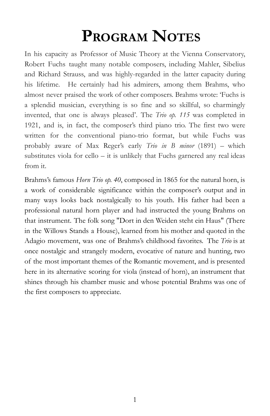## **PROGRAM NOTES**

In his capacity as Professor of Music Theory at the Vienna Conservatory, Robert Fuchs taught many notable composers, including Mahler, Sibelius and Richard Strauss, and was highly-regarded in the latter capacity during his lifetime. He certainly had his admirers, among them Brahms, who almost never praised the work of other composers. Brahms wrote: 'Fuchs is a splendid musician, everything is so fine and so skillful, so charmingly invented, that one is always pleased'. The *Trio op. 115* was completed in 1921, and is, in fact, the composer's third piano trio. The first two were written for the conventional piano-trio format, but while Fuchs was probably aware of Max Reger's early *Trio in B minor* (1891) – which substitutes viola for cello – it is unlikely that Fuchs garnered any real ideas from it.

Brahms's famous *Horn Trio op. 40*, composed in 1865 for the natural horn, is a work of considerable significance within the composer's output and in many ways looks back nostalgically to his youth. His father had been a professional natural horn player and had instructed the young Brahms on that instrument. The folk song "Dort in den Weiden steht ein Haus" (There in the Willows Stands a House), learned from his mother and quoted in the Adagio movement, was one of Brahms's childhood favorites. The *Trio* is at once nostalgic and strangely modern, evocative of nature and hunting, two of the most important themes of the Romantic movement, and is presented here in its alternative scoring for viola (instead of horn), an instrument that shines through his chamber music and whose potential Brahms was one of the first composers to appreciate.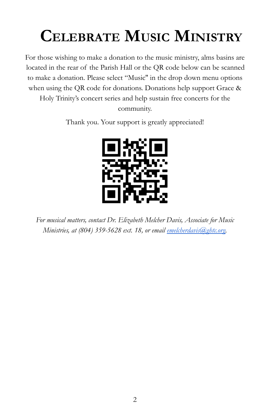# **CELEBRATE MUSIC MINISTRY**

For those wishing to make a donation to the music ministry, alms basins are located in the rear of the Parish Hall or the QR code below can be scanned to make a donation. Please select "Music'' in the drop down menu options when using the QR code for donations. Donations help support Grace & Holy Trinity's concert series and help sustain free concerts for the community.

Thank you. Your support is greatly appreciated!



*For musical matters, contact Dr. Elizabeth Melcher Davis, Associate for Music Ministries, at (804) 359-5628 ext. 18, or email [emelcherdavis@ghtc.org.](mailto:emelcherdavis@ghtc.org)*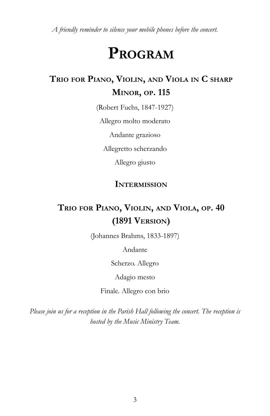*A friendly reminder to silence your mobile phones before the concert.*

## **PROGRAM**

### **TRIO FOR PIANO, VIOLIN, AND VIOLA IN C SHARP MINOR, OP. 115**

(Robert Fuchs, 1847-1927)

Allegro molto moderato

Andante grazioso

Allegretto scherzando

Allegro giusto

#### **INTERMISSION**

### **TRIO FOR PIANO, VIOLIN, AND VIOLA, OP. 40 (1891 VERSION)**

(Johannes Brahms, 1833-1897)

Andante

Scherzo. Allegro

Adagio mesto

Finale. Allegro con brio

*Please join us for a reception in the Parish Hall following the concert. The reception is hosted by the Music Ministry Team.*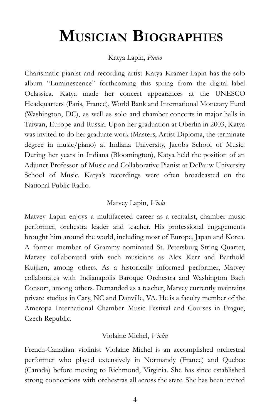## **MUSICIAN BIOGRAPHIES**

#### Katya Lapin, *Piano*

Charismatic pianist and recording artist Katya Kramer-Lapin has the solo album "Luminescence" forthcoming this spring from the digital label Oclassica. Katya made her concert appearances at the UNESCO Headquarters (Paris, France), World Bank and International Monetary Fund (Washington, DC), as well as solo and chamber concerts in major halls in Taiwan, Europe and Russia. Upon her graduation at Oberlin in 2003, Katya was invited to do her graduate work (Masters, Artist Diploma, the terminate degree in music/piano) at Indiana University, Jacobs School of Music. During her years in Indiana (Bloomington), Katya held the position of an Adjunct Professor of Music and Collaborative Pianist at DePauw University School of Music. Katya's recordings were often broadcasted on the National Public Radio.

#### Matvey Lapin, *Viola*

Matvey Lapin enjoys a multifaceted career as a recitalist, chamber music performer, orchestra leader and teacher. His professional engagements brought him around the world, including most of Europe, Japan and Korea. A former member of Grammy-nominated St. Petersburg String Quartet, Matvey collaborated with such musicians as Alex Kerr and Barthold Kuijken, among others. As a historically informed performer, Matvey collaborates with Indianapolis Baroque Orchestra and Washington Bach Consort, among others. Demanded as a teacher, Matvey currently maintains private studios in Cary, NC and Danville, VA. He is a faculty member of the Ameropa International Chamber Music Festival and Courses in Prague, Czech Republic.

#### Violaine Michel, *Violin*

French-Canadian violinist Violaine Michel is an accomplished orchestral performer who played extensively in Normandy (France) and Quebec (Canada) before moving to Richmond, Virginia. She has since established strong connections with orchestras all across the state. She has been invited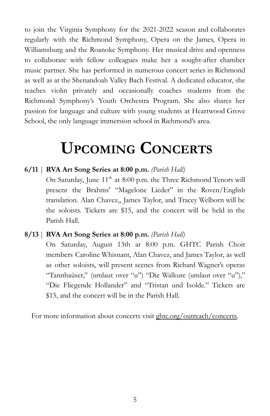to join the Virginia Symphony for the 2021-2022 season and collaborates regularly with the Richmond Symphony, Opera on the James, Opera in Williamsburg and the Roanoke Symphony. Her musical drive and openness to collaborate with fellow colleagues make her a sought-after chamber music partner. She has performed in numerous concert series in Richmond as well as at the Shenandoah Valley Bach Festival. A dedicated educator, she teaches violin privately and occasionally coaches students from the Richmond Symphony's Youth Orchestra Program. She also shares her passion for language and culture with young students at Heartwood Grove School, the only language immersion school in Richmond's area.

## **UPCOMING CONCERTS**

#### **6/11** | **RVA Art Song Series at 8:00 p.m.** *(Parish Hall)*

On Saturday, June 11<sup>th</sup> at 8:00 p.m. the Three Richmond Tenors will present the Brahms' "Magelone Lieder" in the Roven/English translation. Alan Chavez,, James Taylor, and Tracey Welborn will be the soloists. Tickets are \$15, and the concert will be held in the Parish Hall.

#### **8/13** | **RVA Art Song Series at 8:00 p.m.** *(Parish Hall)*

On Saturday, August 13th at 8:00 p.m. GHTC Parish Choir members Caroline Whisnant, Alan Chavez, and James Taylor, as well as other soloists, will present scenes from Richard Wagner's operas "Tannhaüser," (umlaut over "u") "Die Walkure (umlaut over "u")," "Die Fliegende Hollander" and "Tristan und Isolde." Tickets are \$15, and the concert will be in the Parish Hall.

For more information about concerts visit ghtc.org/outreach/concerts.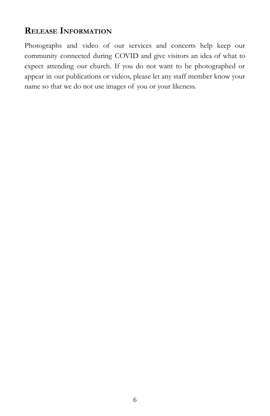### **RELEASE INFORMATION**

Photographs and video of our services and concerts help keep our community connected during COVID and give visitors an idea of what to expect attending our church. If you do not want to be photographed or appear in our publications or videos, please let any staff member know your name so that we do not use images of you or your likeness.